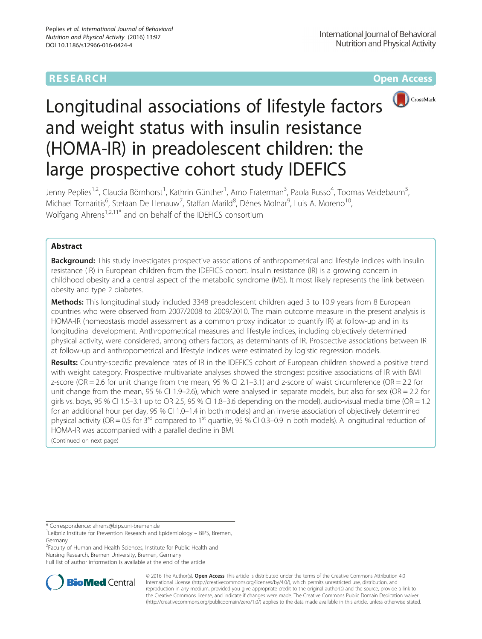# **RESEARCH CHINESE ARCH CHINESE ARCHITECT ARCHITECT ARCHITECT ARCHITECT ARCHITECT ARCHITECT ARCHITECT ARCHITECT ARCHITECT ARCHITECT ARCHITECT ARCHITECT ARCHITECT ARCHITECT ARCHITECT ARCHITECT ARCHITECT ARCHITECT ARCHITE**



# Longitudinal associations of lifestyle factors and weight status with insulin resistance (HOMA-IR) in preadolescent children: the large prospective cohort study IDEFICS

Jenny Peplies<sup>1,2</sup>, Claudia Börnhorst<sup>1</sup>, Kathrin Günther<sup>1</sup>, Arno Fraterman<sup>3</sup>, Paola Russo<sup>4</sup>, Toomas Veidebaum<sup>5</sup> , Michael Tornaritis<sup>6</sup>, Stefaan De Henauw<sup>7</sup>, Staffan Marild<sup>8</sup>, Dénes Molnar<sup>9</sup>, Luis A. Moreno<sup>10</sup>, Wolfgang Ahrens<sup>1,2,11\*</sup> and on behalf of the IDEFICS consortium

# Abstract

**Background:** This study investigates prospective associations of anthropometrical and lifestyle indices with insulin resistance (IR) in European children from the IDEFICS cohort. Insulin resistance (IR) is a growing concern in childhood obesity and a central aspect of the metabolic syndrome (MS). It most likely represents the link between obesity and type 2 diabetes.

Methods: This longitudinal study included 3348 preadolescent children aged 3 to 10.9 years from 8 European countries who were observed from 2007/2008 to 2009/2010. The main outcome measure in the present analysis is HOMA-IR (homeostasis model assessment as a common proxy indicator to quantify IR) at follow-up and in its longitudinal development. Anthropometrical measures and lifestyle indices, including objectively determined physical activity, were considered, among others factors, as determinants of IR. Prospective associations between IR at follow-up and anthropometrical and lifestyle indices were estimated by logistic regression models.

Results: Country-specific prevalence rates of IR in the IDEFICS cohort of European children showed a positive trend with weight category. Prospective multivariate analyses showed the strongest positive associations of IR with BMI z-score (OR = 2.6 for unit change from the mean, 95 % CI 2.1–3.1) and z-score of waist circumference (OR = 2.2 for unit change from the mean, 95 % CI 1.9–2.6), which were analysed in separate models, but also for sex (OR = 2.2 for girls vs. boys, 95 % CI 1.5–3.1 up to OR 2.5, 95 % CI 1.8–3.6 depending on the model), audio-visual media time (OR = 1.2 for an additional hour per day, 95 % CI 1.0–1.4 in both models) and an inverse association of objectively determined physical activity (OR = 0.5 for  $3^{rd}$  compared to 1<sup>st</sup> quartile, 95 % CI 0.3–0.9 in both models). A longitudinal reduction of HOMA-IR was accompanied with a parallel decline in BMI.

(Continued on next page)

\* Correspondence: [ahrens@bips.uni-bremen.de](mailto:ahrens@bips.uni-bremen.de) <sup>1</sup>

<sup>2</sup> Faculty of Human and Health Sciences, Institute for Public Health and Nursing Research, Bremen University, Bremen, Germany

Full list of author information is available at the end of the article



© 2016 The Author(s). Open Access This article is distributed under the terms of the Creative Commons Attribution 4.0 International License [\(http://creativecommons.org/licenses/by/4.0/](http://creativecommons.org/licenses/by/4.0/)), which permits unrestricted use, distribution, and reproduction in any medium, provided you give appropriate credit to the original author(s) and the source, provide a link to the Creative Commons license, and indicate if changes were made. The Creative Commons Public Domain Dedication waiver [\(http://creativecommons.org/publicdomain/zero/1.0/](http://creativecommons.org/publicdomain/zero/1.0/)) applies to the data made available in this article, unless otherwise stated.

<sup>&</sup>lt;sup>1</sup> Leibniz Institute for Prevention Research and Epidemiology – BIPS, Bremen, Germany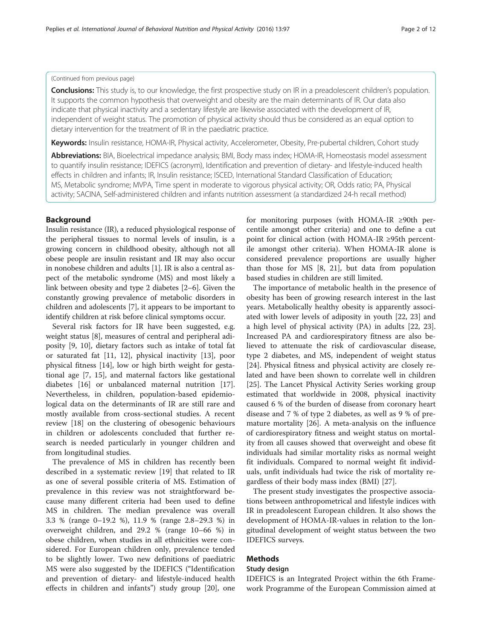# (Continued from previous page)

Conclusions: This study is, to our knowledge, the first prospective study on IR in a preadolescent children's population. It supports the common hypothesis that overweight and obesity are the main determinants of IR. Our data also indicate that physical inactivity and a sedentary lifestyle are likewise associated with the development of IR, independent of weight status. The promotion of physical activity should thus be considered as an equal option to dietary intervention for the treatment of IR in the paediatric practice.

Keywords: Insulin resistance, HOMA-IR, Physical activity, Accelerometer, Obesity, Pre-pubertal children, Cohort study

Abbreviations: BIA, Bioelectrical impedance analysis; BMI, Body mass index; HOMA-IR, Homeostasis model assessment to quantify insulin resistance; IDEFICS (acronym), Identification and prevention of dietary- and lifestyle-induced health effects in children and infants; IR, Insulin resistance; ISCED, International Standard Classification of Education; MS, Metabolic syndrome; MVPA, Time spent in moderate to vigorous physical activity; OR, Odds ratio; PA, Physical activity; SACINA, Self-administered children and infants nutrition assessment (a standardized 24-h recall method)

# Background

Insulin resistance (IR), a reduced physiological response of the peripheral tissues to normal levels of insulin, is a growing concern in childhood obesity, although not all obese people are insulin resistant and IR may also occur in nonobese children and adults [\[1](#page-10-0)]. IR is also a central aspect of the metabolic syndrome (MS) and most likely a link between obesity and type 2 diabetes [\[2](#page-10-0)–[6\]](#page-10-0). Given the constantly growing prevalence of metabolic disorders in children and adolescents [[7\]](#page-10-0), it appears to be important to identify children at risk before clinical symptoms occur.

Several risk factors for IR have been suggested, e.g. weight status [\[8](#page-10-0)], measures of central and peripheral adiposity [\[9](#page-10-0), [10](#page-10-0)], dietary factors such as intake of total fat or saturated fat [\[11](#page-10-0), [12](#page-10-0)], physical inactivity [\[13](#page-10-0)], poor physical fitness [[14\]](#page-10-0), low or high birth weight for gestational age [\[7](#page-10-0), [15\]](#page-10-0), and maternal factors like gestational diabetes [\[16](#page-10-0)] or unbalanced maternal nutrition [\[17](#page-10-0)]. Nevertheless, in children, population-based epidemiological data on the determinants of IR are still rare and mostly available from cross-sectional studies. A recent review [[18\]](#page-10-0) on the clustering of obesogenic behaviours in children or adolescents concluded that further research is needed particularly in younger children and from longitudinal studies.

The prevalence of MS in children has recently been described in a systematic review [[19\]](#page-10-0) that related to IR as one of several possible criteria of MS. Estimation of prevalence in this review was not straightforward because many different criteria had been used to define MS in children. The median prevalence was overall 3.3 % (range 0–19.2 %), 11.9 % (range 2.8–29.3 %) in overweight children, and 29.2 % (range 10–66 %) in obese children, when studies in all ethnicities were considered. For European children only, prevalence tended to be slightly lower. Two new definitions of paediatric MS were also suggested by the IDEFICS ("Identification and prevention of dietary- and lifestyle-induced health effects in children and infants") study group [[20\]](#page-10-0), one

for monitoring purposes (with HOMA-IR ≥90th percentile amongst other criteria) and one to define a cut point for clinical action (with HOMA-IR ≥95th percentile amongst other criteria). When HOMA-IR alone is considered prevalence proportions are usually higher than those for MS [\[8, 21](#page-10-0)], but data from population based studies in children are still limited.

The importance of metabolic health in the presence of obesity has been of growing research interest in the last years. Metabolically healthy obesity is apparently associated with lower levels of adiposity in youth [[22](#page-10-0), [23\]](#page-10-0) and a high level of physical activity (PA) in adults [\[22](#page-10-0), [23](#page-10-0)]. Increased PA and cardiorespiratory fitness are also believed to attenuate the risk of cardiovascular disease, type 2 diabetes, and MS, independent of weight status [[24\]](#page-10-0). Physical fitness and physical activity are closely related and have been shown to correlate well in children [[25\]](#page-10-0). The Lancet Physical Activity Series working group estimated that worldwide in 2008, physical inactivity caused 6 % of the burden of disease from coronary heart disease and 7 % of type 2 diabetes, as well as 9 % of premature mortality [[26\]](#page-10-0). A meta-analysis on the influence of cardiorespiratory fitness and weight status on mortality from all causes showed that overweight and obese fit individuals had similar mortality risks as normal weight fit individuals. Compared to normal weight fit individuals, unfit individuals had twice the risk of mortality regardless of their body mass index (BMI) [\[27\]](#page-10-0).

The present study investigates the prospective associations between anthropometrical and lifestyle indices with IR in preadolescent European children. It also shows the development of HOMA-IR-values in relation to the longitudinal development of weight status between the two IDEFICS surveys.

# Methods

# Study design

IDEFICS is an Integrated Project within the 6th Framework Programme of the European Commission aimed at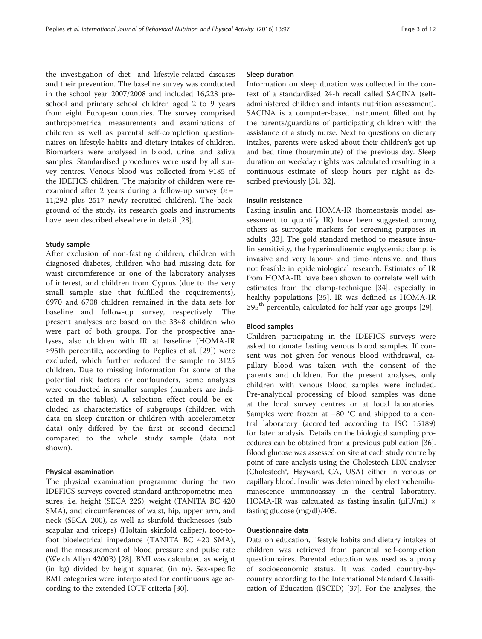the investigation of diet- and lifestyle-related diseases and their prevention. The baseline survey was conducted in the school year 2007/2008 and included 16,228 preschool and primary school children aged 2 to 9 years from eight European countries. The survey comprised anthropometrical measurements and examinations of children as well as parental self-completion questionnaires on lifestyle habits and dietary intakes of children. Biomarkers were analysed in blood, urine, and saliva samples. Standardised procedures were used by all survey centres. Venous blood was collected from 9185 of the IDEFICS children. The majority of children were reexamined after 2 years during a follow-up survey  $(n =$ 11,292 plus 2517 newly recruited children). The background of the study, its research goals and instruments have been described elsewhere in detail [\[28\]](#page-10-0).

## Study sample

After exclusion of non-fasting children, children with diagnosed diabetes, children who had missing data for waist circumference or one of the laboratory analyses of interest, and children from Cyprus (due to the very small sample size that fulfilled the requirements), 6970 and 6708 children remained in the data sets for baseline and follow-up survey, respectively. The present analyses are based on the 3348 children who were part of both groups. For the prospective analyses, also children with IR at baseline (HOMA-IR ≥95th percentile, according to Peplies et al. [\[29](#page-10-0)]) were excluded, which further reduced the sample to 3125 children. Due to missing information for some of the potential risk factors or confounders, some analyses were conducted in smaller samples (numbers are indicated in the tables). A selection effect could be excluded as characteristics of subgroups (children with data on sleep duration or children with accelerometer data) only differed by the first or second decimal compared to the whole study sample (data not shown).

#### Physical examination

The physical examination programme during the two IDEFICS surveys covered standard anthropometric measures, i.e. height (SECA 225), weight (TANITA BC 420 SMA), and circumferences of waist, hip, upper arm, and neck (SECA 200), as well as skinfold thicknesses (subscapular and triceps) (Holtain skinfold caliper), foot-tofoot bioelectrical impedance (TANITA BC 420 SMA), and the measurement of blood pressure and pulse rate (Welch Allyn 4200B) [[28\]](#page-10-0). BMI was calculated as weight (in kg) divided by height squared (in m). Sex-specific BMI categories were interpolated for continuous age according to the extended IOTF criteria [[30\]](#page-10-0).

#### Sleep duration

Information on sleep duration was collected in the context of a standardised 24-h recall called SACINA (selfadministered children and infants nutrition assessment). SACINA is a computer-based instrument filled out by the parents/guardians of participating children with the assistance of a study nurse. Next to questions on dietary intakes, parents were asked about their children's get up and bed time (hour/minute) of the previous day. Sleep duration on weekday nights was calculated resulting in a continuous estimate of sleep hours per night as described previously [[31](#page-10-0), [32](#page-10-0)].

# Insulin resistance

Fasting insulin and HOMA-IR (homeostasis model assessment to quantify IR) have been suggested among others as surrogate markers for screening purposes in adults [[33\]](#page-10-0). The gold standard method to measure insulin sensitivity, the hyperinsulinemic euglycemic clamp, is invasive and very labour- and time-intensive, and thus not feasible in epidemiological research. Estimates of IR from HOMA-IR have been shown to correlate well with estimates from the clamp-technique [[34\]](#page-10-0), especially in healthy populations [\[35](#page-10-0)]. IR was defined as HOMA-IR  $\geq$ 95<sup>th</sup> percentile, calculated for half year age groups [\[29\]](#page-10-0).

#### Blood samples

Children participating in the IDEFICS surveys were asked to donate fasting venous blood samples. If consent was not given for venous blood withdrawal, capillary blood was taken with the consent of the parents and children. For the present analyses, only children with venous blood samples were included. Pre-analytical processing of blood samples was done at the local survey centres or at local laboratories. Samples were frozen at −80 °C and shipped to a central laboratory (accredited according to ISO 15189) for later analysis. Details on the biological sampling procedures can be obtained from a previous publication [[36](#page-10-0)]. Blood glucose was assessed on site at each study centre by point-of-care analysis using the Cholestech LDX analyser (Cholestech®, Hayward, CA, USA) either in venous or capillary blood. Insulin was determined by electrochemiluminescence immunoassay in the central laboratory. HOMA-IR was calculated as fasting insulin ( $\mu$ IU/ml)  $\times$ fasting glucose (mg/dl)/405.

## Questionnaire data

Data on education, lifestyle habits and dietary intakes of children was retrieved from parental self-completion questionnaires. Parental education was used as a proxy of socioeconomic status. It was coded country-bycountry according to the International Standard Classification of Education (ISCED) [\[37\]](#page-10-0). For the analyses, the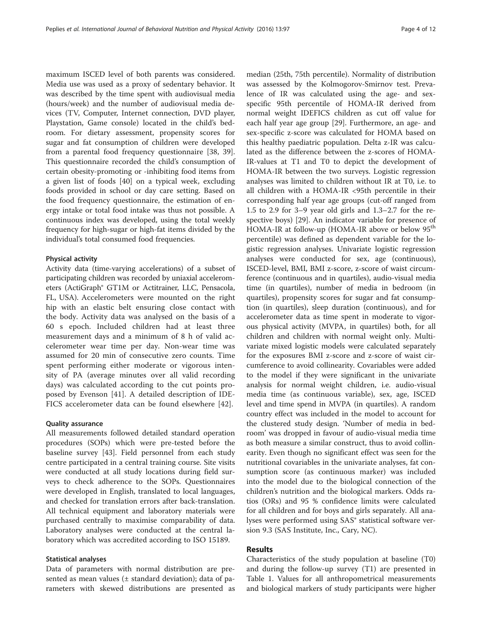maximum ISCED level of both parents was considered. Media use was used as a proxy of sedentary behavior. It was described by the time spent with audiovisual media (hours/week) and the number of audiovisual media devices (TV, Computer, Internet connection, DVD player, Playstation, Game console) located in the child's bedroom. For dietary assessment, propensity scores for sugar and fat consumption of children were developed from a parental food frequency questionnaire [[38,](#page-10-0) [39](#page-11-0)]. This questionnaire recorded the child's consumption of certain obesity-promoting or -inhibiting food items from a given list of foods [[40\]](#page-11-0) on a typical week, excluding foods provided in school or day care setting. Based on the food frequency questionnaire, the estimation of energy intake or total food intake was thus not possible. A continuous index was developed, using the total weekly frequency for high-sugar or high-fat items divided by the individual's total consumed food frequencies.

#### Physical activity

Activity data (time-varying accelerations) of a subset of participating children was recorded by uniaxial accelerometers (ActiGraph® GT1M or Actitrainer, LLC, Pensacola, FL, USA). Accelerometers were mounted on the right hip with an elastic belt ensuring close contact with the body. Activity data was analysed on the basis of a 60 s epoch. Included children had at least three measurement days and a minimum of 8 h of valid accelerometer wear time per day. Non-wear time was assumed for 20 min of consecutive zero counts. Time spent performing either moderate or vigorous intensity of PA (average minutes over all valid recording days) was calculated according to the cut points proposed by Evenson [[41\]](#page-11-0). A detailed description of IDE-FICS accelerometer data can be found elsewhere [[42\]](#page-11-0).

#### Quality assurance

All measurements followed detailed standard operation procedures (SOPs) which were pre-tested before the baseline survey [\[43](#page-11-0)]. Field personnel from each study centre participated in a central training course. Site visits were conducted at all study locations during field surveys to check adherence to the SOPs. Questionnaires were developed in English, translated to local languages, and checked for translation errors after back-translation. All technical equipment and laboratory materials were purchased centrally to maximise comparability of data. Laboratory analyses were conducted at the central laboratory which was accredited according to ISO 15189.

# Statistical analyses

Data of parameters with normal distribution are presented as mean values  $(\pm$  standard deviation); data of parameters with skewed distributions are presented as

median (25th, 75th percentile). Normality of distribution was assessed by the Kolmogorov-Smirnov test. Prevalence of IR was calculated using the age- and sexspecific 95th percentile of HOMA-IR derived from normal weight IDEFICS children as cut off value for each half year age group [\[29](#page-10-0)]. Furthermore, an age- and sex-specific z-score was calculated for HOMA based on this healthy paediatric population. Delta z-IR was calculated as the difference between the z-scores of HOMA-IR-values at T1 and T0 to depict the development of HOMA-IR between the two surveys. Logistic regression analyses was limited to children without IR at T0, i.e. to all children with a HOMA-IR <95th percentile in their corresponding half year age groups (cut-off ranged from 1.5 to 2.9 for 3–9 year old girls and 1.3–2.7 for the respective boys) [\[29](#page-10-0)]. An indicator variable for presence of HOMA-IR at follow-up (HOMA-IR above or below 95<sup>th</sup> percentile) was defined as dependent variable for the logistic regression analyses. Univariate logistic regression analyses were conducted for sex, age (continuous), ISCED-level, BMI, BMI z-score, z-score of waist circumference (continuous and in quartiles), audio-visual media time (in quartiles), number of media in bedroom (in quartiles), propensity scores for sugar and fat consumption (in quartiles), sleep duration (continuous), and for accelerometer data as time spent in moderate to vigorous physical activity (MVPA, in quartiles) both, for all children and children with normal weight only. Multivariate mixed logistic models were calculated separately for the exposures BMI z-score and z-score of waist circumference to avoid collinearity. Covariables were added to the model if they were significant in the univariate analysis for normal weight children, i.e. audio-visual media time (as continuous variable), sex, age, ISCED level and time spend in MVPA (in quartiles). A random country effect was included in the model to account for the clustered study design. 'Number of media in bedroom' was dropped in favour of audio-visual media time as both measure a similar construct, thus to avoid collinearity. Even though no significant effect was seen for the nutritional covariables in the univariate analyses, fat consumption score (as continuous marker) was included into the model due to the biological connection of the children's nutrition and the biological markers. Odds ratios (ORs) and 95 % confidence limits were calculated for all children and for boys and girls separately. All analyses were performed using SAS® statistical software version 9.3 (SAS Institute, Inc., Cary, NC).

# Results

Characteristics of the study population at baseline (T0) and during the follow-up survey (T1) are presented in Table [1](#page-4-0). Values for all anthropometrical measurements and biological markers of study participants were higher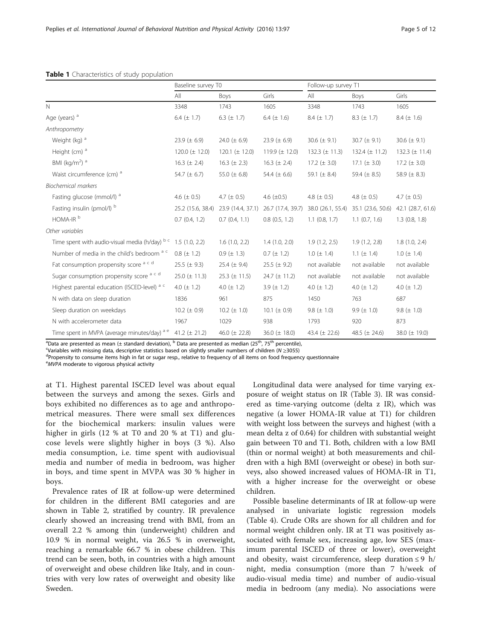|                                                                   | Baseline survey T0 |                                     |                    | Follow-up survey T1 |                                     |                    |
|-------------------------------------------------------------------|--------------------|-------------------------------------|--------------------|---------------------|-------------------------------------|--------------------|
|                                                                   | All                | <b>Boys</b>                         | Girls              | All                 | Boys                                | Girls              |
| $\mathbb{N}$                                                      | 3348               | 1743                                | 1605               | 3348                | 1743                                | 1605               |
| Age (years) <sup>a</sup>                                          | 6.4 $(\pm 1.7)$    | 6.3 ( $\pm$ 1.7)                    | 6.4 $(\pm 1.6)$    | $8.4 (\pm 1.7)$     | $8.3 (\pm 1.7)$                     | $8.4 (\pm 1.6)$    |
| Anthropometry                                                     |                    |                                     |                    |                     |                                     |                    |
| Weight (kg) <sup>a</sup>                                          | 23.9 ( $\pm$ 6.9)  | 24.0 ( $\pm$ 6.9)                   | 23.9 ( $\pm$ 6.9)  | 30.6 $(\pm 9.1)$    | $30.7 (\pm 9.1)$                    | 30.6 ( $\pm$ 9.1)  |
| Height (cm) <sup>a</sup>                                          | 120.0 $(\pm$ 12.0) | 120.1 ( $\pm$ 12.0)                 | 119.9 $(\pm 12.0)$ | 132.3 $(\pm 11.3)$  | 132.4 $(\pm$ 11.2)                  | 132.3 $(\pm 11.4)$ |
| BMI (kg/m <sup>2</sup> ) <sup>a</sup>                             | $16.3 (\pm 2.4)$   | 16.3 $(\pm 2.3)$                    | 16.3 $(\pm 2.4)$   | 17.2 ( $\pm$ 3.0)   | 17.1 ( $\pm$ 3.0)                   | $17.2 (\pm 3.0)$   |
| Waist circumference (cm) <sup>a</sup>                             | 54.7 $(\pm 6.7)$   | 55.0 ( $\pm$ 6.8)                   | 54.4 $(\pm 6.6)$   | 59.1 ( $\pm$ 8.4)   | 59.4 $(\pm 8.5)$                    | 58.9 $(\pm 8.3)$   |
| <b>Biochemical markers</b>                                        |                    |                                     |                    |                     |                                     |                    |
| Fasting glucose (mmol/l) a                                        | 4.6 ( $\pm$ 0.5)   | 4.7 ( $\pm$ 0.5)                    | 4.6 $(\pm 0.5)$    | 4.8 ( $\pm$ 0.5)    | 4.8 ( $\pm$ 0.5)                    | 4.7 ( $\pm$ 0.5)   |
| Fasting insulin (pmol/l) b                                        |                    | 25.2 (15.6, 38.4) 23.9 (14.4, 37.1) | 26.7 (17.4, 39.7)  |                     | 38.0 (26.1, 55.4) 35.1 (23.6, 50.6) | 42.1 (28.7, 61.6)  |
| HOMA-IR <sup>b</sup>                                              | 0.7(0.4, 1.2)      | 0.7(0.4, 1.1)                       | 0.8(0.5, 1.2)      | $1.1$ (0.8, 1.7)    | $1.1$ (0.7, 1.6)                    | $1.3$ (0.8, 1.8)   |
| Other variables                                                   |                    |                                     |                    |                     |                                     |                    |
| Time spent with audio-visual media (h/day) $b^c$ 1.5 (1.0, 2.2)   |                    | 1.6(1.0, 2.2)                       | 1.4(1.0, 2.0)      | 1.9(1.2, 2.5)       | 1.9(1.2, 2.8)                       | 1.8(1.0, 2.4)      |
| Number of media in the child's bedroom a c                        | $0.8 (\pm 1.2)$    | $0.9 (\pm 1.3)$                     | $0.7 (\pm 1.2)$    | $1.0 (\pm 1.4)$     | 1.1 $(\pm 1.4)$                     | $1.0 (\pm 1.4)$    |
| Fat consumption propensity score a c d                            | $25.5 (\pm 9.3)$   | 25.4 $(\pm 9.4)$                    | $25.5 (\pm 9.2)$   | not available       | not available                       | not available      |
| Sugar consumption propensity score a c d                          | $25.0 (\pm 11.3)$  | 25.3 ( $\pm$ 11.5)                  | $24.7 (\pm 11.2)$  | not available       | not available                       | not available      |
| Highest parental education (ISCED-level) a c                      | 4.0 $(\pm 1.2)$    | 4.0 $(\pm 1.2)$                     | 3.9 $(\pm 1.2)$    | 4.0 ( $\pm$ 1.2)    | 4.0 $(\pm 1.2)$                     | 4.0 $(\pm 1.2)$    |
| N with data on sleep duration                                     | 1836               | 961                                 | 875                | 1450                | 763                                 | 687                |
| Sleep duration on weekdays                                        | 10.2 ( $\pm$ 0.9)  | $10.2 (\pm 1.0)$                    | 10.1 ( $\pm$ 0.9)  | 9.8 ( $\pm$ 1.0)    | 9.9 ( $\pm$ 1.0)                    | 9.8 ( $\pm$ 1.0)   |
| N with accelerometer data                                         | 1967               | 1029                                | 938                | 1793                | 920                                 | 873                |
| Time spent in MVPA (average minutes/day) $a e$ 41.2 ( $\pm$ 21.2) |                    | 46.0 ( $\pm$ 22.8)                  | 36.0 $(\pm 18.0)$  | 43.4 $(\pm 22.6)$   | 48.5 ( $\pm$ 24.6)                  | 38.0 $(\pm 19.0)$  |

#### <span id="page-4-0"></span>Table 1 Characteristics of study population

<sup>a</sup>Data are presented as mean (± standard deviation), <sup>b</sup> Data are presented as median (25<sup>th</sup>, 75<sup>th</sup> percentile),<br>Wariables with missing data descriptive statistics based on slightly smaller numbers of children (N ~3055

Variables with missing data, descriptive statistics based on slightly smaller numbers of children ( $N \ge 3055$ )

<sup>d</sup>Propensity to consume items high in fat or sugar resp., relative to frequency of all items on food frequency questionnaire

eMVPA moderate to vigorous physical activity

at T1. Highest parental ISCED level was about equal between the surveys and among the sexes. Girls and boys exhibited no differences as to age and anthropometrical measures. There were small sex differences for the biochemical markers: insulin values were higher in girls (12 % at T0 and 20 % at T1) and glucose levels were slightly higher in boys (3 %). Also media consumption, i.e. time spent with audiovisual media and number of media in bedroom, was higher in boys, and time spent in MVPA was 30 % higher in boys.

Prevalence rates of IR at follow-up were determined for children in the different BMI categories and are shown in Table [2,](#page-5-0) stratified by country. IR prevalence clearly showed an increasing trend with BMI, from an overall 2.2 % among thin (underweight) children and 10.9 % in normal weight, via 26.5 % in overweight, reaching a remarkable 66.7 % in obese children. This trend can be seen, both, in countries with a high amount of overweight and obese children like Italy, and in countries with very low rates of overweight and obesity like Sweden.

Longitudinal data were analysed for time varying exposure of weight status on IR (Table [3](#page-5-0)). IR was considered as time-varying outcome (delta z IR), which was negative (a lower HOMA-IR value at T1) for children with weight loss between the surveys and highest (with a mean delta z of 0.64) for children with substantial weight gain between T0 and T1. Both, children with a low BMI (thin or normal weight) at both measurements and children with a high BMI (overweight or obese) in both surveys, also showed increased values of HOMA-IR in T1, with a higher increase for the overweight or obese children.

Possible baseline determinants of IR at follow-up were analysed in univariate logistic regression models (Table [4\)](#page-6-0). Crude ORs are shown for all children and for normal weight children only. IR at T1 was positively associated with female sex, increasing age, low SES (maximum parental ISCED of three or lower), overweight and obesity, waist circumference, sleep duration  $\leq 9$  h/ night, media consumption (more than 7 h/week of audio-visual media time) and number of audio-visual media in bedroom (any media). No associations were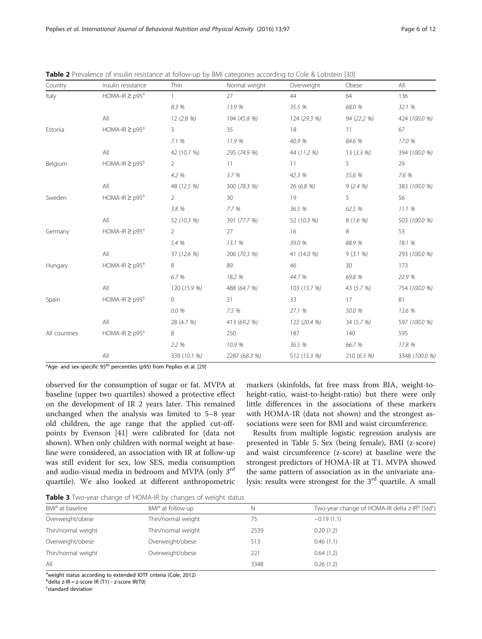| Country       | Insulin resistance             | Thin           | Normal weight   | Overweight   | Obese       | All            |
|---------------|--------------------------------|----------------|-----------------|--------------|-------------|----------------|
| Italy         | $HOMA-IR \geq p95^a$           | $\mathbf{1}$   | 27              | 44           | 64          | 136            |
|               |                                | 8.3 %          | 13.9 %          | 35.5 %       | 68.0 %      | 32.1 %         |
|               | All                            | 12 (2.8 %)     | 194 (45.8 %)    | 124 (29.3 %) | 94 (22.2 %) | 424 (100.0 %)  |
| Estonia       | HOMA-IR $\ge$ p95 <sup>a</sup> | $\mathbf{3}$   | 35              | 18           | 11          | 67             |
|               |                                | 7.1%           | 11.9%           | 40.9 %       | 84.6 %      | 17.0 %         |
|               | All                            | 42 (10.7 %)    | 295 (74.9 %)    | 44 (11.2 %)  | 13 (3.3 %)  | 394 (100.0 %)  |
| Belgium       | $HOMA-IR \geq p95^a$           | $\overline{2}$ | 11              | 11           | 5           | 29             |
|               |                                | 4.2 %          | 3.7%            | 42.3 %       | 55.6 %      | 7.6 %          |
|               | All                            | 48 (12.5 %)    | 300 (78.3 %)    | 26 (6.8 %)   | 9(2.4%      | 383 (100.0 %)  |
| Sweden        | HOMA-IR $\ge$ p95 <sup>a</sup> | $\overline{2}$ | 30 <sup>°</sup> | 19           | 5           | 56             |
|               |                                | 3.8 %          | 7.7 %           | 36.5 %       | 62.5 %      | 11.1 %         |
|               | All                            | 52 (10.3 %)    | 391 (77.7 %)    | 52 (10.3 %)  | 8 (1.6 %)   | 503 (100.0 %)  |
| Germany       | HOMA-IR $\ge$ p95 <sup>a</sup> | $\overline{2}$ | 27              | 16           | 8           | 53             |
|               |                                | 5.4 %          | 13.1 %          | 39.0 %       | 88.9 %      | 18.1 %         |
|               | All                            | 37 (12.6 %)    | 206 (70.3 %)    | 41 (14.0 %)  | 9(3.1%      | 293 (100.0 %)  |
| Hungary       | HOMA-IR $\ge$ p95 <sup>a</sup> | 8              | 89              | 46           | 30          | 173            |
|               |                                | 6.7%           | 18.2 %          | 44.7 %       | 69.8 %      | 22.9 %         |
|               | All                            | 120 (15.9 %)   | 488 (64.7 %)    | 103 (13.7 %) | 43 (5.7 %)  | 754 (100.0 %)  |
| Spain         | HOMA-IR $\ge$ p95 <sup>a</sup> | 0              | 31              | 33           | 17          | 81             |
|               |                                | 0.0 %          | 7.5 %           | 27.1 %       | 50.0 %      | 13.6 %         |
|               | All                            | 28 (4.7 %)     | 413 (69.2 %)    | 122 (20.4 %) | 34 (5.7 %)  | 597 (100.0 %)  |
| All countries | HOMA-IR $\ge$ p95 <sup>a</sup> | 8              | 250             | 187          | 140         | 595            |
|               |                                | 2.2 %          | 10.9 %          | 36.5 %       | 66.7 %      | 17.8 %         |
|               | All                            | 339 (10.1 %)   | 2287 (68.3 %)   | 512 (15.3 %) | 210 (6.3 %) | 3348 (100.0 %) |

<span id="page-5-0"></span>Table 2 Prevalence of insulin resistance at follow-up by BMI categories according to Cole & Lobstein [[30\]](#page-10-0)

<sup>a</sup>Age- and sex-specific 95<sup>th</sup> percentiles (p95) from Peplies et al. [[29](#page-10-0)]

observed for the consumption of sugar or fat. MVPA at baseline (upper two quartiles) showed a protective effect on the development of IR 2 years later. This remained unchanged when the analysis was limited to 5–8 year old children, the age range that the applied cut-offpoints by Evenson [\[41\]](#page-11-0) were calibrated for (data not shown). When only children with normal weight at baseline were considered, an association with IR at follow-up was still evident for sex, low SES, media consumption and audio-visual media in bedroom and MVPA (only 3rd quartile). We also looked at different anthropometric

markers (skinfolds, fat free mass from BIA, weight-toheight-ratio, waist-to-height-ratio) but there were only little differences in the associations of these markers with HOMA-IR (data not shown) and the strongest associations were seen for BMI and waist circumference.

Results from multiple logistic regression analysis are presented in Table [5](#page-7-0). Sex (being female), BMI (z-score) and waist circumference (z-score) at baseline were the strongest predictors of HOMA-IR at T1. MVPA showed the same pattern of association as in the univariate analysis: results were strongest for the 3<sup>rd</sup> quartile. A small

Table 3 Two-year change of HOMA-IR by changes of weight status

| BMI <sup>a</sup> at baseline | BMI <sup>ª</sup> at follow-up | N    | Two-year change of HOMA-IR delta z-IR <sup>b</sup> (Std <sup>c</sup> ) |
|------------------------------|-------------------------------|------|------------------------------------------------------------------------|
| Overweight/obese             | Thin/normal weight            | 75   | $-0.19(1.1)$                                                           |
| Thin/normal weight           | Thin/normal weight            | 2539 | 0.20(1.2)                                                              |
| Overweight/obese             | Overweight/obese              | 513  | 0.46(1.1)                                                              |
| Thin/normal weight           | Overweight/obese              | 221  | 0.64(1.2)                                                              |
| All                          |                               | 3348 | 0.26(1.2)                                                              |

<sup>a</sup>weight status according to extended IOTF criteria (Cole, 2012)

b delta z-IR = z-score IR (T1) - z-score IR(T0)

<sup>c</sup>standard deviation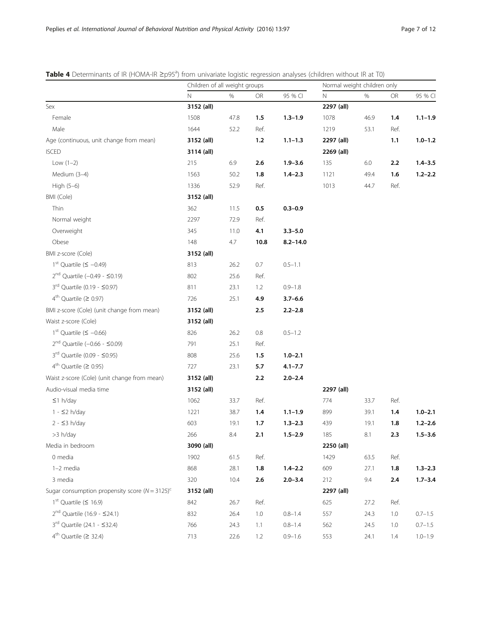|                                                                | Children of all weight groups |      |         | Normal weight children only |            |      |      |             |
|----------------------------------------------------------------|-------------------------------|------|---------|-----------------------------|------------|------|------|-------------|
|                                                                | N                             | $\%$ | OR      | 95 % CI                     | N          | %    | OR   | 95 % CI     |
| Sex                                                            | 3152 (all)                    |      |         |                             | 2297 (all) |      |      |             |
| Female                                                         | 1508                          | 47.8 | 1.5     | $1.3 - 1.9$                 | 1078       | 46.9 | 1.4  | $1.1 - 1.9$ |
| Male                                                           | 1644                          | 52.2 | Ref.    |                             | 1219       | 53.1 | Ref. |             |
| Age (continuous, unit change from mean)                        | 3152 (all)                    |      | $1.2$   | $1.1 - 1.3$                 | 2297 (all) |      | 1.1  | $1.0 - 1.2$ |
| <b>ISCED</b>                                                   | 3114 (all)                    |      |         |                             | 2269 (all) |      |      |             |
| Low $(1-2)$                                                    | 215                           | 6.9  | 2.6     | $1.9 - 3.6$                 | 135        | 6.0  | 2.2  | $1.4 - 3.5$ |
| Medium (3-4)                                                   | 1563                          | 50.2 | 1.8     | $1.4 - 2.3$                 | 1121       | 49.4 | 1.6  | $1.2 - 2.2$ |
| High (5-6)                                                     | 1336                          | 52.9 | Ref.    |                             | 1013       | 44.7 | Ref. |             |
| BMI (Cole)                                                     | 3152 (all)                    |      |         |                             |            |      |      |             |
| Thin                                                           | 362                           | 11.5 | 0.5     | $0.3 - 0.9$                 |            |      |      |             |
| Normal weight                                                  | 2297                          | 72.9 | Ref.    |                             |            |      |      |             |
| Overweight                                                     | 345                           | 11.0 | 4.1     | $3.3 - 5.0$                 |            |      |      |             |
| Obese                                                          | 148                           | 4.7  | 10.8    | $8.2 - 14.0$                |            |      |      |             |
| BMI z-score (Cole)                                             | 3152 (all)                    |      |         |                             |            |      |      |             |
| $1^{\text{st}}$ Quartile ( $\leq -0.49$ )                      | 813                           | 26.2 | 0.7     | $0.5 - 1.1$                 |            |      |      |             |
| $2^{nd}$ Quartile (-0.49 - $\leq$ 0.19)                        | 802                           | 25.6 | Ref.    |                             |            |      |      |             |
| $3^{rd}$ Quartile (0.19 - $\leq$ 0.97)                         | 811                           | 23.1 | 1.2     | $0.9 - 1.8$                 |            |      |      |             |
| $4th$ Quartile ( $\geq$ 0.97)                                  | 726                           | 25.1 | 4.9     | $3.7 - 6.6$                 |            |      |      |             |
| BMI z-score (Cole) (unit change from mean)                     | 3152 (all)                    |      | 2.5     | $2.2 - 2.8$                 |            |      |      |             |
| Waist z-score (Cole)                                           | 3152 (all)                    |      |         |                             |            |      |      |             |
| $1st$ Quartile ( $\leq -0.66$ )                                | 826                           | 26.2 | $0.8\,$ | $0.5 - 1.2$                 |            |      |      |             |
| $2^{nd}$ Quartile (-0.66 - $\leq$ 0.09)                        | 791                           | 25.1 | Ref.    |                             |            |      |      |             |
| 3 <sup>rd</sup> Quartile (0.09 - ≤0.95)                        | 808                           | 25.6 | 1.5     | $1.0 - 2.1$                 |            |      |      |             |
| $4th$ Quartile ( $\geq$ 0.95)                                  | 727                           | 23.1 | 5.7     | $4.1 - 7.7$                 |            |      |      |             |
| Waist z-score (Cole) (unit change from mean)                   | 3152 (all)                    |      | 2.2     | $2.0 - 2.4$                 |            |      |      |             |
| Audio-visual media time                                        | 3152 (all)                    |      |         |                             | 2297 (all) |      |      |             |
| $\leq$ 1 h/day                                                 | 1062                          | 33.7 | Ref.    |                             | 774        | 33.7 | Ref. |             |
| 1 - ≤2 h/day                                                   | 1221                          | 38.7 | 1.4     | $1.1 - 1.9$                 | 899        | 39.1 | 1.4  | $1.0 - 2.1$ |
| $2 - 53 h/day$                                                 | 603                           | 19.1 | 1.7     | $1.3 - 2.3$                 | 439        | 19.1 | 1.8  | $1.2 - 2.6$ |
| >3 h/day                                                       | 266                           | 8.4  | 2.1     | $1.5 - 2.9$                 | 185        | 8.1  | 2.3  | $1.5 - 3.6$ |
| Media in bedroom                                               | 3090 (all)                    |      |         |                             | 2250 (all) |      |      |             |
| 0 media                                                        | 1902                          | 61.5 | Ref.    |                             | 1429       | 63.5 | Ref. |             |
| 1-2 media                                                      | 868                           | 28.1 | 1.8     | $1.4 - 2.2$                 | 609        | 27.1 | 1.8  | $1.3 - 2.3$ |
| 3 media                                                        | 320                           | 10.4 | 2.6     | $2.0 - 3.4$                 | 212        | 9.4  | 2.4  | $1.7 - 3.4$ |
| Sugar consumption propensity score ( $N = 3125$ ) <sup>c</sup> | 3152 (all)                    |      |         |                             | 2297 (all) |      |      |             |
| $1st$ Quartile ( $\leq 16.9$ )                                 | 842                           | 26.7 | Ref.    |                             | 625        | 27.2 | Ref. |             |
| $2^{nd}$ Quartile (16.9 - $\leq$ 24.1)                         | 832                           | 26.4 | 1.0     | $0.8 - 1.4$                 | 557        | 24.3 | 1.0  | $0.7 - 1.5$ |
| $3^{rd}$ Quartile (24.1 - $\leq$ 32.4)                         | 766                           | 24.3 | 1.1     | $0.8 - 1.4$                 | 562        | 24.5 | 1.0  | $0.7 - 1.5$ |
| $4^{\text{th}}$ Quartile ( $\geq 32.4$ )                       | 713                           | 22.6 | 1.2     | $0.9 - 1.6$                 | 553        | 24.1 | 1.4  | $1.0 - 1.9$ |

<span id="page-6-0"></span>Table 4 Determinants of IR (HOMA-IR ≥p95<sup>a</sup>) from univariate logistic regression analyses (children without IR at T0)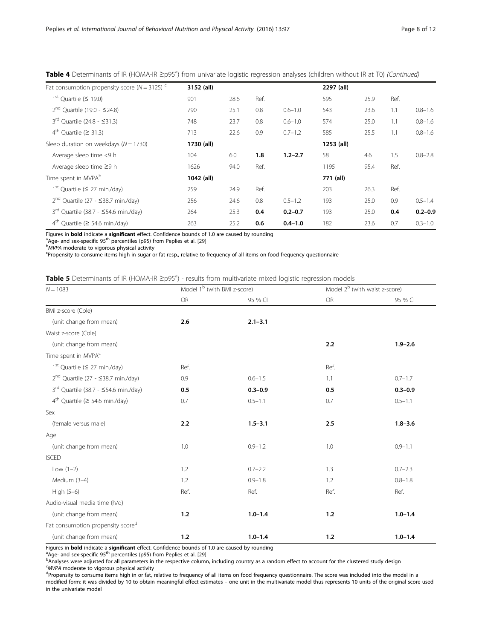| Fat consumption propensity score ( $N = 3125$ ) <sup>c</sup> | 3152 (all) |      |      |             | 2297 (all) |      |      |             |
|--------------------------------------------------------------|------------|------|------|-------------|------------|------|------|-------------|
| $1st$ Ouartile ( $\leq$ 19.0)                                | 901        | 28.6 | Ref. |             | 595        | 25.9 | Ref. |             |
| $2^{nd}$ Ouartile (19.0 - $\leq$ 24.8)                       | 790        | 25.1 | 0.8  | $0.6 - 1.0$ | 543        | 23.6 | 1.1  | $0.8 - 1.6$ |
| $3^{rd}$ Ouartile (24.8 - $\leq$ 31.3)                       | 748        | 23.7 | 0.8  | $0.6 - 1.0$ | 574        | 25.0 | 1.1  | $0.8 - 1.6$ |
| $4th$ Quartile ( $\geq 31.3$ )                               | 713        | 22.6 | 0.9  | $0.7 - 1.2$ | 585        | 25.5 | 1.1  | $0.8 - 1.6$ |
| Sleep duration on weekdays ( $N = 1730$ )                    | 1730 (all) |      |      |             | 1253 (all) |      |      |             |
| Average sleep time <9 h                                      | 104        | 6.0  | 1.8  | $1.2 - 2.7$ | 58         | 4.6  | 1.5  | $0.8 - 2.8$ |
| Average sleep time ≥9 h                                      | 1626       | 94.0 | Ref. |             | 1195       | 95.4 | Ref. |             |
| Time spent in MVPA <sup>b</sup>                              | 1042 (all) |      |      |             | 771 (all)  |      |      |             |
| $1st$ Quartile ( $\leq$ 27 min./day)                         | 259        | 24.9 | Ref. |             | 203        | 26.3 | Ref. |             |
| $2^{nd}$ Quartile (27 - $\leq$ 38.7 min./day)                | 256        | 24.6 | 0.8  | $0.5 - 1.2$ | 193        | 25.0 | 0.9  | $0.5 - 1.4$ |
| $3rd$ Quartile (38.7 - $\leq$ 54.6 min./day)                 | 264        | 25.3 | 0.4  | $0.2 - 0.7$ | 193        | 25.0 | 0.4  | $0.2 - 0.9$ |
| $4th$ Quartile ( $\geq$ 54.6 min./day)                       | 263        | 25.2 | 0.6  | $0.4 - 1.0$ | 182        | 23.6 | 0.7  | $0.3 - 1.0$ |

# <span id="page-7-0"></span>Table 4 Determinants of IR (HOMA-IR ≥p95<sup>a</sup>) from univariate logistic regression analyses (children without IR at T0) (Continued)

Figures in **bold** indicate a significant effect. Confidence bounds of 1.0 are caused by rounding

<sup>a</sup>Age- and sex-specific 95<sup>th</sup> percentiles (p95) from Peplies et al. [[29](#page-10-0)]

 $b$ MVPA moderate to vigorous physical activity

Propensity to consume items high in sugar or fat resp., relative to frequency of all items on food frequency questionnaire

| Table 5 Determinants of IR (HOMA-IR ≥p95ª) - results from multivariate mixed logistic regression models |
|---------------------------------------------------------------------------------------------------------|
|---------------------------------------------------------------------------------------------------------|

| $N = 1083$                                     | Model 1 <sup>b</sup> (with BMI z-score) |             | Model 2 <sup>b</sup> (with waist z-score) |             |  |
|------------------------------------------------|-----------------------------------------|-------------|-------------------------------------------|-------------|--|
|                                                | <b>OR</b>                               | 95 % CI     | OR                                        | 95 % CI     |  |
| BMI z-score (Cole)                             |                                         |             |                                           |             |  |
| (unit change from mean)                        | 2.6                                     | $2.1 - 3.1$ |                                           |             |  |
| Waist z-score (Cole)                           |                                         |             |                                           |             |  |
| (unit change from mean)                        |                                         |             | 2.2                                       | $1.9 - 2.6$ |  |
| Time spent in MVPA <sup>c</sup>                |                                         |             |                                           |             |  |
| $1st$ Quartile ( $\leq$ 27 min./day)           | Ref.                                    |             | Ref.                                      |             |  |
| 2 <sup>nd</sup> Quartile (27 - ≤38.7 min./day) | 0.9                                     | $0.6 - 1.5$ | 1.1                                       | $0.7 - 1.7$ |  |
| $3rd$ Quartile (38.7 - $\leq$ 54.6 min./day)   | 0.5                                     | $0.3 - 0.9$ | 0.5                                       | $0.3 - 0.9$ |  |
| $4th$ Quartile ( $\geq$ 54.6 min./day)         | 0.7                                     | $0.5 - 1.1$ | 0.7                                       | $0.5 - 1.1$ |  |
| Sex                                            |                                         |             |                                           |             |  |
| (female versus male)                           | 2.2                                     | $1.5 - 3.1$ | 2.5                                       | $1.8 - 3.6$ |  |
| Age                                            |                                         |             |                                           |             |  |
| (unit change from mean)                        | 1.0                                     | $0.9 - 1.2$ | 1.0                                       | $0.9 - 1.1$ |  |
| <b>ISCED</b>                                   |                                         |             |                                           |             |  |
| Low $(1-2)$                                    | 1.2                                     | $0.7 - 2.2$ | 1.3                                       | $0.7 - 2.3$ |  |
| Medium (3-4)                                   | 1.2                                     | $0.9 - 1.8$ | 1.2                                       | $0.8 - 1.8$ |  |
| High $(5-6)$                                   | Ref.                                    | Ref.        | Ref.                                      | Ref.        |  |
| Audio-visual media time (h/d)                  |                                         |             |                                           |             |  |
| (unit change from mean)                        | 1.2                                     | $1.0 - 1.4$ | 1.2                                       | $1.0 - 1.4$ |  |
| Fat consumption propensity score <sup>d</sup>  |                                         |             |                                           |             |  |
| (unit change from mean)                        | 1.2                                     | $1.0 - 1.4$ | 1.2                                       | $1.0 - 1.4$ |  |

Figures in **bold** indicate a significant effect. Confidence bounds of 1.0 are caused by rounding

<sup>a</sup>Age- and sex-specific 95<sup>th</sup> percentiles (p95) from Peplies et al. [[29](#page-10-0)]

Analyses were adjusted for all parameters in the respective column, including country as a random effect to account for the clustered study design

 $\alpha$ <sup>C</sup>MVPA moderate to vigorous physical activity dependent to consume items high in or fat

<sup>d</sup>Propensity to consume items high in or fat, relative to frequency of all items on food frequency questionnaire. The score was included into the model in a modified form: it was divided by 10 to obtain meaningful effect estimates – one unit in the multivariate model thus represents 10 units of the original score used in the univariate model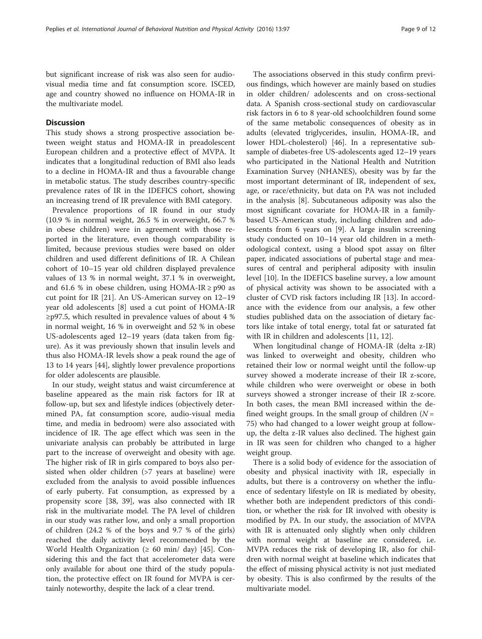but significant increase of risk was also seen for audiovisual media time and fat consumption score. ISCED, age and country showed no influence on HOMA-IR in the multivariate model.

# **Discussion**

This study shows a strong prospective association between weight status and HOMA-IR in preadolescent European children and a protective effect of MVPA. It indicates that a longitudinal reduction of BMI also leads to a decline in HOMA-IR and thus a favourable change in metabolic status. The study describes country-specific prevalence rates of IR in the IDEFICS cohort, showing an increasing trend of IR prevalence with BMI category.

Prevalence proportions of IR found in our study (10.9 % in normal weight, 26.5 % in overweight, 66.7 % in obese children) were in agreement with those reported in the literature, even though comparability is limited, because previous studies were based on older children and used different definitions of IR. A Chilean cohort of 10–15 year old children displayed prevalence values of 13 % in normal weight, 37.1 % in overweight, and 61.6 % in obese children, using HOMA-IR  $\ge$  p90 as cut point for IR [\[21](#page-10-0)]. An US-American survey on 12–19 year old adolescents [\[8](#page-10-0)] used a cut point of HOMA-IR  $\geq$ p97.5, which resulted in prevalence values of about 4 % in normal weight, 16 % in overweight and 52 % in obese US-adolescents aged 12–19 years (data taken from figure). As it was previously shown that insulin levels and thus also HOMA-IR levels show a peak round the age of 13 to 14 years [\[44](#page-11-0)], slightly lower prevalence proportions for older adolescents are plausible.

In our study, weight status and waist circumference at baseline appeared as the main risk factors for IR at follow-up, but sex and lifestyle indices (objectively determined PA, fat consumption score, audio-visual media time, and media in bedroom) were also associated with incidence of IR. The age effect which was seen in the univariate analysis can probably be attributed in large part to the increase of overweight and obesity with age. The higher risk of IR in girls compared to boys also persisted when older children (>7 years at baseline) were excluded from the analysis to avoid possible influences of early puberty. Fat consumption, as expressed by a propensity score [[38,](#page-10-0) [39\]](#page-11-0), was also connected with IR risk in the multivariate model. The PA level of children in our study was rather low, and only a small proportion of children (24.2 % of the boys and 9.7 % of the girls) reached the daily activity level recommended by the World Health Organization ( $\geq 60$  min/ day) [[45](#page-11-0)]. Considering this and the fact that accelerometer data were only available for about one third of the study population, the protective effect on IR found for MVPA is certainly noteworthy, despite the lack of a clear trend.

The associations observed in this study confirm previous findings, which however are mainly based on studies in older children/ adolescents and on cross-sectional data. A Spanish cross-sectional study on cardiovascular risk factors in 6 to 8 year-old schoolchildren found some of the same metabolic consequences of obesity as in adults (elevated triglycerides, insulin, HOMA-IR, and lower HDL-cholesterol) [\[46\]](#page-11-0). In a representative subsample of diabetes-free US-adolescents aged 12–19 years who participated in the National Health and Nutrition Examination Survey (NHANES), obesity was by far the most important determinant of IR, independent of sex, age, or race/ethnicity, but data on PA was not included in the analysis [[8\]](#page-10-0). Subcutaneous adiposity was also the most significant covariate for HOMA-IR in a familybased US-American study, including children and adolescents from 6 years on [[9\]](#page-10-0). A large insulin screening study conducted on 10–14 year old children in a methodological context, using a blood spot assay on filter paper, indicated associations of pubertal stage and measures of central and peripheral adiposity with insulin level [\[10](#page-10-0)]. In the IDEFICS baseline survey, a low amount of physical activity was shown to be associated with a cluster of CVD risk factors including IR [\[13](#page-10-0)]. In accordance with the evidence from our analysis, a few other studies published data on the association of dietary factors like intake of total energy, total fat or saturated fat with IR in children and adolescents [\[11, 12\]](#page-10-0).

When longitudinal change of HOMA-IR (delta z-IR) was linked to overweight and obesity, children who retained their low or normal weight until the follow-up survey showed a moderate increase of their IR z-score, while children who were overweight or obese in both surveys showed a stronger increase of their IR z-score. In both cases, the mean BMI increased within the defined weight groups. In the small group of children  $(N =$ 75) who had changed to a lower weight group at followup, the delta z-IR values also declined. The highest gain in IR was seen for children who changed to a higher weight group.

There is a solid body of evidence for the association of obesity and physical inactivity with IR, especially in adults, but there is a controversy on whether the influence of sedentary lifestyle on IR is mediated by obesity, whether both are independent predictors of this condition, or whether the risk for IR involved with obesity is modified by PA. In our study, the association of MVPA with IR is attenuated only slightly when only children with normal weight at baseline are considered, i.e. MVPA reduces the risk of developing IR, also for children with normal weight at baseline which indicates that the effect of missing physical activity is not just mediated by obesity. This is also confirmed by the results of the multivariate model.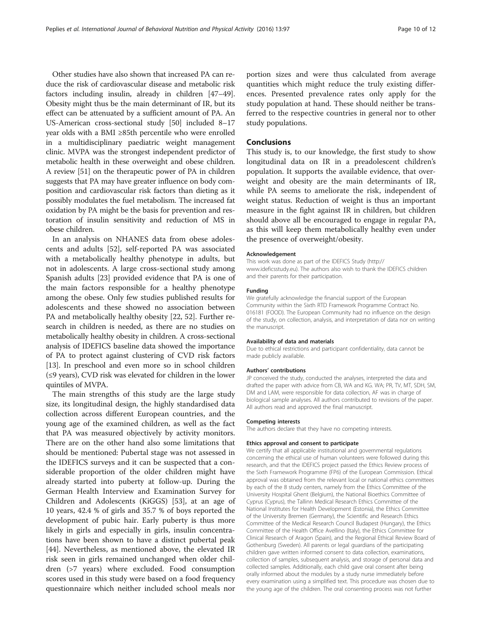Other studies have also shown that increased PA can reduce the risk of cardiovascular disease and metabolic risk factors including insulin, already in children [\[47](#page-11-0)–[49](#page-11-0)]. Obesity might thus be the main determinant of IR, but its effect can be attenuated by a sufficient amount of PA. An US-American cross-sectional study [\[50\]](#page-11-0) included 8–17 year olds with a BMI ≥85th percentile who were enrolled in a multidisciplinary paediatric weight management clinic. MVPA was the strongest independent predictor of metabolic health in these overweight and obese children. A review [\[51\]](#page-11-0) on the therapeutic power of PA in children suggests that PA may have greater influence on body composition and cardiovascular risk factors than dieting as it possibly modulates the fuel metabolism. The increased fat oxidation by PA might be the basis for prevention and restoration of insulin sensitivity and reduction of MS in obese children.

In an analysis on NHANES data from obese adolescents and adults [\[52](#page-11-0)], self-reported PA was associated with a metabolically healthy phenotype in adults, but not in adolescents. A large cross-sectional study among Spanish adults [\[23](#page-10-0)] provided evidence that PA is one of the main factors responsible for a healthy phenotype among the obese. Only few studies published results for adolescents and these showed no association between PA and metabolically healthy obesity [\[22](#page-10-0), [52](#page-11-0)]. Further research in children is needed, as there are no studies on metabolically healthy obesity in children. A cross-sectional analysis of IDEFICS baseline data showed the importance of PA to protect against clustering of CVD risk factors [[13](#page-10-0)]. In preschool and even more so in school children (≤9 years), CVD risk was elevated for children in the lower quintiles of MVPA.

The main strengths of this study are the large study size, its longitudinal design, the highly standardised data collection across different European countries, and the young age of the examined children, as well as the fact that PA was measured objectively by activity monitors. There are on the other hand also some limitations that should be mentioned: Pubertal stage was not assessed in the IDEFICS surveys and it can be suspected that a considerable proportion of the older children might have already started into puberty at follow-up. During the German Health Interview and Examination Survey for Children and Adolescents (KiGGS) [[53\]](#page-11-0), at an age of 10 years, 42.4 % of girls and 35.7 % of boys reported the development of pubic hair. Early puberty is thus more likely in girls and especially in girls, insulin concentrations have been shown to have a distinct pubertal peak [[44\]](#page-11-0). Nevertheless, as mentioned above, the elevated IR risk seen in girls remained unchanged when older children (>7 years) where excluded. Food consumption scores used in this study were based on a food frequency questionnaire which neither included school meals nor

portion sizes and were thus calculated from average quantities which might reduce the truly existing differences. Presented prevalence rates only apply for the study population at hand. These should neither be transferred to the respective countries in general nor to other study populations.

## Conclusions

This study is, to our knowledge, the first study to show longitudinal data on IR in a preadolescent children's population. It supports the available evidence, that overweight and obesity are the main determinants of IR, while PA seems to ameliorate the risk, independent of weight status. Reduction of weight is thus an important measure in the fight against IR in children, but children should above all be encouraged to engage in regular PA, as this will keep them metabolically healthy even under the presence of overweight/obesity.

#### Acknowledgement

This work was done as part of the IDEFICS Study [\(http://](http://www.ideficsstudy.eu) [www.ideficsstudy.eu\)](http://www.ideficsstudy.eu). The authors also wish to thank the IDEFICS children and their parents for their participation.

#### Funding

We gratefully acknowledge the financial support of the European Community within the Sixth RTD Framework Programme Contract No. 016181 (FOOD). The European Community had no influence on the design of the study, on collection, analysis, and interpretation of data nor on writing the manuscript.

#### Availability of data and materials

Due to ethical restrictions and participant confidentiality, data cannot be made publicly available.

#### Authors' contributions

JP conceived the study, conducted the analyses, interpreted the data and drafted the paper with advice from CB, WA and KG. WA; PR, TV, MT, SDH, SM, DM and LAM, were responsible for data collection, AF was in charge of biological sample analyses. All authors contributed to revisions of the paper. All authors read and approved the final manuscript.

#### Competing interests

The authors declare that they have no competing interests.

#### Ethics approval and consent to participate

We certify that all applicable institutional and governmental regulations concerning the ethical use of human volunteers were followed during this research, and that the IDEFICS project passed the Ethics Review process of the Sixth Framework Programme (FP6) of the European Commission. Ethical approval was obtained from the relevant local or national ethics committees by each of the 8 study centers, namely from the Ethics Committee of the University Hospital Ghent (Belgium), the National Bioethics Committee of Cyprus (Cyprus), the Tallinn Medical Research Ethics Committee of the National Institutes for Health Development (Estonia), the Ethics Committee of the University Bremen (Germany), the Scientific and Research Ethics Committee of the Medical Research Council Budapest (Hungary), the Ethics Committee of the Health Office Avellino (Italy), the Ethics Committee for Clinical Research of Aragon (Spain), and the Regional Ethical Review Board of Gothenburg (Sweden). All parents or legal guardians of the participating children gave written informed consent to data collection, examinations, collection of samples, subsequent analysis, and storage of personal data and collected samples. Additionally, each child gave oral consent after being orally informed about the modules by a study nurse immediately before every examination using a simplified text. This procedure was chosen due to the young age of the children. The oral consenting process was not further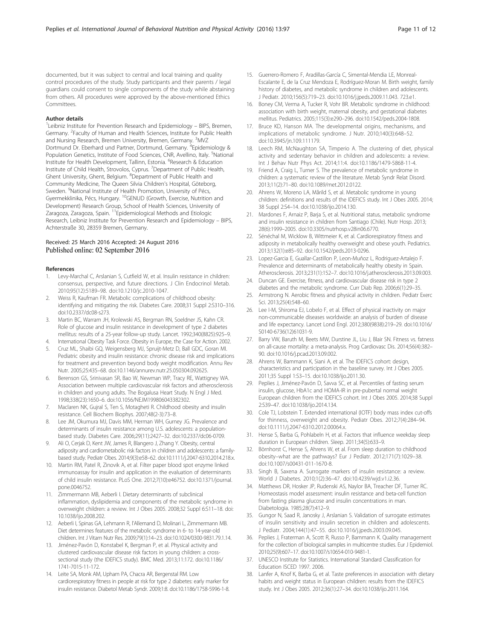<span id="page-10-0"></span>documented, but it was subject to central and local training and quality control procedures of the study. Study participants and their parents / legal guardians could consent to single components of the study while abstaining from others. All procedures were approved by the above-mentioned Ethics Committees

#### Author details

<sup>1</sup>Leibniz Institute for Prevention Research and Epidemiology - BIPS, Bremen, Germany. <sup>2</sup>Faculty of Human and Health Sciences, Institute for Public Health and Nursing Research, Bremen University, Bremen, Germany. <sup>3</sup>MVZ Dortmund Dr. Eberhard und Partner, Dortmund, Germany. <sup>4</sup>Epidemiology & Population Genetics, Institute of Food Sciences, CNR, Avellino, Italy. <sup>5</sup>National Institute for Health Development, Tallinn, Estonia. <sup>6</sup>Research & Education Institute of Child Health, Strovolos, Cyprus. <sup>7</sup>Department of Public Health, Ghent University, Ghent, Belgium. <sup>8</sup>Department of Public Health and Community Medicine, The Queen Silvia Children's Hospital, Göteborg, Sweden. <sup>9</sup>National Institute of Health Promotion, University of Pécs, Gyermekklinika, Pécs, Hungary. 10GENUD (Growth, Exercise, Nutrition and Development) Research Group, School of Health Sciences, University of Zaragoza, Zaragoza, Spain. 11Epidemiological Methods and Etiologic Research, Leibniz Institute for Prevention Research and Epidemiology – BIPS, Achterstraße 30, 28359 Bremen, Germany.

#### Received: 25 March 2016 Accepted: 24 August 2016 Published online: 02 September 2016

#### References

- 1. Levy-Marchal C, Arslanian S, Cutfield W, et al. Insulin resistance in children: consensus, perspective, and future directions. J Clin Endocrinol Metab. 2010;95(12):5189–98. doi:[10.1210/jc.2010-1047.](http://dx.doi.org/10.1210/jc.2010-1047)
- Weiss R, Kaufman FR. Metabolic complications of childhood obesity: identifying and mitigating the risk. Diabetes Care. 2008;31 Suppl 2:S310–316. doi[:10.2337/dc08-s273.](http://dx.doi.org/10.2337/dc08-s273)
- 3. Martin BC, Warram JH, Krolewski AS, Bergman RN, Soeldner JS, Kahn CR. Role of glucose and insulin resistance in development of type 2 diabetes mellitus: results of a 25-year follow-up study. Lancet. 1992;340(8825):925–9.
- 4. International Obesity Task Force. Obesity in Europe, the Case for Action. 2002. 5. Cruz ML, Shaibi GQ, Weigensberg MJ, Spruijt-Metz D, Ball GDC, Goran MI. Pediatric obesity and insulin resistance: chronic disease risk and implications for treatment and prevention beyond body weight modification. Annu Rev Nutr. 2005;25:435–68. doi:[10.1146/annurev.nutr.25.050304.092625](http://dx.doi.org/10.1146/annurev.nutr.25.050304.092625).
- 6. Berenson GS, Srinivasan SR, Bao W, Newman WP, Tracy RE, Wattigney WA. Association between multiple cardiovascular risk factors and atherosclerosis in children and young adults. The Bogalusa Heart Study. N Engl J Med. 1998;338(23):1650–6. doi:[10.1056/NEJM199806043382302.](http://dx.doi.org/10.1056/NEJM199806043382302)
- 7. Maclaren NK, Gujral S, Ten S, Motagheti R. Childhood obesity and insulin resistance. Cell Biochem Biophys. 2007;48(2-3):73–8.
- Lee JM, Okumura MJ, Davis MM, Herman WH, Gurney JG. Prevalence and determinants of insulin resistance among U.S. adolescents: a populationbased study. Diabetes Care. 2006;29(11):2427–32. doi[:10.2337/dc06-0709](http://dx.doi.org/10.2337/dc06-0709).
- 9. Ali O, Cerjak D, Kent JW, James R, Blangero J, Zhang Y. Obesity, central adiposity and cardiometabolic risk factors in children and adolescents: a familybased study. Pediatr Obes. 2014;9(3):e58–62. doi[:10.1111/j.2047-6310.2014.218.x](http://dx.doi.org/10.1111/j.2047-6310.2014.218.x).
- 10. Martin RM, Patel R, Zinovik A, et al. Filter paper blood spot enzyme linked immunoassay for insulin and application in the evaluation of determinants of child insulin resistance. PLoS One. 2012;7(10):e46752. doi[:10.1371/journal.](http://dx.doi.org/10.1371/journal.pone.0046752) [pone.0046752.](http://dx.doi.org/10.1371/journal.pone.0046752)
- 11. Zimmermann MB, Aeberli I. Dietary determinants of subclinical inflammation, dyslipidemia and components of the metabolic syndrome in overweight children: a review. Int J Obes 2005. 2008;32 Suppl 6:S11–18. doi: [10.1038/ijo.2008.202.](http://dx.doi.org/10.1038/ijo.2008.202)
- 12. Aeberli I, Spinas GA, Lehmann R, l'Allemand D, Molinari L, Zimmermann MB. Diet determines features of the metabolic syndrome in 6- to 14-year-old children. Int J Vitam Nutr Res. 2009;79(1):14–23. doi[:10.1024/0300-9831.79.1.14.](http://dx.doi.org/10.1024/0300-9831.79.1.14)
- 13. Jiménez-Pavón D, Konstabel K, Bergman P, et al. Physical activity and clustered cardiovascular disease risk factors in young children: a crosssectional study (the IDEFICS study). BMC Med. 2013;11:172. doi:[10.1186/](http://dx.doi.org/10.1186/1741-7015-11-172) [1741-7015-11-172](http://dx.doi.org/10.1186/1741-7015-11-172).
- 14. Leite SA, Monk AM, Upham PA, Chacra AR, Bergenstal RM. Low cardiorespiratory fitness in people at risk for type 2 diabetes: early marker for insulin resistance. Diabetol Metab Syndr. 2009;1:8. doi:[10.1186/1758-5996-1-8](http://dx.doi.org/10.1186/1758-5996-1-8).
- 15. Guerrero-Romero F, Aradillas-García C, Simental-Mendia LE, Monreal-Escalante E, de la Cruz Mendoza E, Rodríguez-Moran M. Birth weight, family history of diabetes, and metabolic syndrome in children and adolescents. J Pediatr. 2010;156(5):719–23. doi:[10.1016/j.jpeds.2009.11.043](http://dx.doi.org/10.1016/j.jpeds.2009.11.043). 723.e1.
- 16. Boney CM, Verma A, Tucker R, Vohr BR. Metabolic syndrome in childhood: association with birth weight, maternal obesity, and gestational diabetes mellitus. Pediatrics. 2005;115(3):e290–296. doi:[10.1542/peds.2004-1808](http://dx.doi.org/10.1542/peds.2004-1808).
- 17. Bruce KD, Hanson MA. The developmental origins, mechanisms, and implications of metabolic syndrome. J Nutr. 2010;140(3):648–52. doi[:10.3945/jn.109.111179.](http://dx.doi.org/10.3945/jn.109.111179)
- 18. Leech RM, McNaughton SA, Timperio A. The clustering of diet, physical activity and sedentary behavior in children and adolescents: a review. Int J Behav Nutr Phys Act. 2014;11:4. doi:[10.1186/1479-5868-11-4.](http://dx.doi.org/10.1186/1479-5868-11-4)
- 19. Friend A, Craig L, Turner S. The prevalence of metabolic syndrome in children: a systematic review of the literature. Metab Syndr Relat Disord. 2013;11(2):71–80. doi:[10.1089/met.2012.0122.](http://dx.doi.org/10.1089/met.2012.0122)
- 20. Ahrens W, Moreno LA, Mårild S, et al. Metabolic syndrome in young children: definitions and results of the IDEFICS study. Int J Obes 2005. 2014; 38 Suppl 2:S4–14. doi[:10.1038/ijo.2014.130](http://dx.doi.org/10.1038/ijo.2014.130).
- 21. Mardones F, Arnaiz P, Barja S, et al. Nutritional status, metabolic syndrome and insulin resistance in children from Santiago (Chile). Nutr Hosp. 2013; 28(6):1999–2005. doi[:10.3305/nutrhosp.v28in06.6770](http://dx.doi.org/10.3305/nutrhosp.v28in06.6770).
- 22. Sénéchal M, Wicklow B, Wittmeier K, et al. Cardiorespiratory fitness and adiposity in metabolically healthy overweight and obese youth. Pediatrics. 2013;132(1):e85–92. doi[:10.1542/peds.2013-0296.](http://dx.doi.org/10.1542/peds.2013-0296)
- 23. Lopez-Garcia E, Guallar-Castillon P, Leon-Muñoz L, Rodriguez-Artalejo F. Prevalence and determinants of metabolically healthy obesity in Spain. Atherosclerosis. 2013;231(1):152–7. doi:[10.1016/j.atherosclerosis.2013.09.003](http://dx.doi.org/10.1016/j.atherosclerosis.2013.09.003).
- 24. Duncan GE. Exercise, fitness, and cardiovascular disease risk in type 2 diabetes and the metabolic syndrome. Curr Diab Rep. 2006;6(1):29–35.
- 25. Armstrong N. Aerobic fitness and physical activity in children. Pediatr Exerc Sci. 2013;25(4):548–60.
- 26. Lee I-M, Shiroma EJ, Lobelo F, et al. Effect of physical inactivity on major non-communicable diseases worldwide: an analysis of burden of disease and life expectancy. Lancet Lond Engl. 2012;380(9838):219–29. doi:[10.1016/](http://dx.doi.org/10.1016/S0140-6736(12)61031-9) [S0140-6736\(12\)61031-9](http://dx.doi.org/10.1016/S0140-6736(12)61031-9).
- 27. Barry VW, Baruth M, Beets MW, Durstine JL, Liu J, Blair SN. Fitness vs. fatness on all-cause mortality: a meta-analysis. Prog Cardiovasc Dis. 2014;56(4):382– 90. doi[:10.1016/j.pcad.2013.09.002](http://dx.doi.org/10.1016/j.pcad.2013.09.002).
- 28. Ahrens W, Bammann K, Siani A, et al. The IDEFICS cohort: design, characteristics and participation in the baseline survey. Int J Obes 2005. 2011;35 Suppl 1:S3–15. doi[:10.1038/ijo.2011.30.](http://dx.doi.org/10.1038/ijo.2011.30)
- 29. Peplies J, Jiménez-Pavón D, Savva SC, et al. Percentiles of fasting serum insulin, glucose, HbA1c and HOMA-IR in pre-pubertal normal weight European children from the IDEFICS cohort. Int J Obes 2005. 2014;38 Suppl 2:S39–47. doi[:10.1038/ijo.2014.134.](http://dx.doi.org/10.1038/ijo.2014.134)
- 30. Cole TJ, Lobstein T. Extended international (IOTF) body mass index cut-offs for thinness, overweight and obesity. Pediatr Obes. 2012;7(4):284–94. doi[:10.1111/j.2047-6310.2012.00064.x.](http://dx.doi.org/10.1111/j.2047-6310.2012.00064.x)
- 31. Hense S, Barba G, Pohlabeln H, et al. Factors that influence weekday sleep duration in European children. Sleep. 2011;34(5):633–9.
- 32. Börnhorst C, Hense S, Ahrens W, et al. From sleep duration to childhood obesity–what are the pathways? Eur J Pediatr. 2012;171(7):1029–38. doi[:10.1007/s00431-011-1670-8.](http://dx.doi.org/10.1007/s00431-011-1670-8)
- 33. Singh B, Saxena A. Surrogate markers of insulin resistance: a review. World J Diabetes. 2010;1(2):36–47. doi:[10.4239/wjd.v1.i2.36](http://dx.doi.org/10.4239/wjd.v1.i2.36).
- 34. Matthews DR, Hosker JP, Rudenski AS, Naylor BA, Treacher DF, Turner RC. Homeostasis model assessment: insulin resistance and beta-cell function from fasting plasma glucose and insulin concentrations in man. Diabetologia. 1985;28(7):412–9.
- 35. Gungor N, Saad R, Janosky J, Arslanian S. Validation of surrogate estimates of insulin sensitivity and insulin secretion in children and adolescents. J Pediatr. 2004;144(1):47–55. doi:[10.1016/j.jpeds.2003.09.045](http://dx.doi.org/10.1016/j.jpeds.2003.09.045).
- 36. Peplies J, Fraterman A, Scott R, Russo P, Bammann K. Quality management for the collection of biological samples in multicentre studies. Eur J Epidemiol. 2010;25(9):607–17. doi:[10.1007/s10654-010-9481-1.](http://dx.doi.org/10.1007/s10654-010-9481-1)
- 37. UNESCO Institute for Statistics. International Standard Classification for Education ISCED 1997. 2006.
- 38. Lanfer A, Knof K, Barba G, et al. Taste preferences in association with dietary habits and weight status in European children: results from the IDEFICS study. Int J Obes 2005. 2012;36(1):27–34. doi[:10.1038/ijo.2011.164](http://dx.doi.org/10.1038/ijo.2011.164).